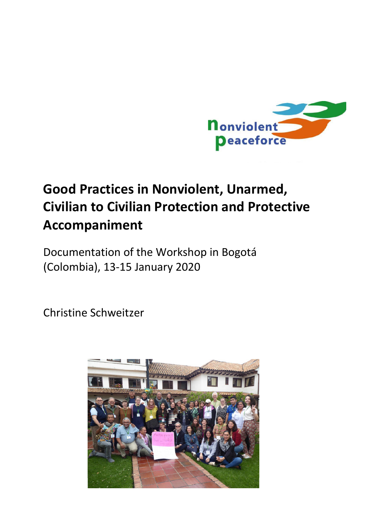

# **Good Practices in Nonviolent, Unarmed, Civilian to Civilian Protection and Protective Accompaniment**

Documentation of the Workshop in Bogotá (Colombia), 13-15 January 2020

Christine Schweitzer

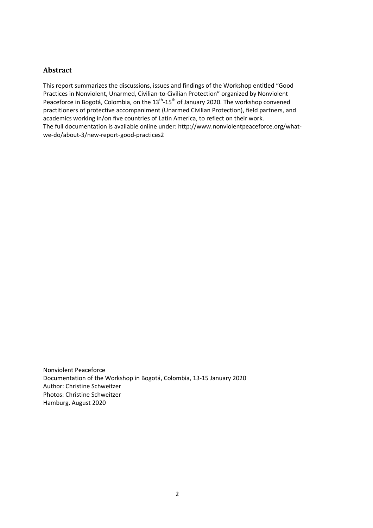## **Abstract**

This report summarizes the discussions, issues and findings of the Workshop entitled "Good Practices in Nonviolent, Unarmed, Civilian-to-Civilian Protection" organized by Nonviolent Peaceforce in Bogotá, Colombia, on the 13<sup>th</sup>-15<sup>th</sup> of January 2020. The workshop convened practitioners of protective accompaniment (Unarmed Civilian Protection), field partners, and academics working in/on five countries of Latin America, to reflect on their work. The full documentation is available online under: http://www.nonviolentpeaceforce.org/whatwe-do/about-3/new-report-good-practices2

Nonviolent Peaceforce Documentation of the Workshop in Bogotá, Colombia, 13-15 January 2020 Author: Christine Schweitzer Photos: Christine Schweitzer Hamburg, August 2020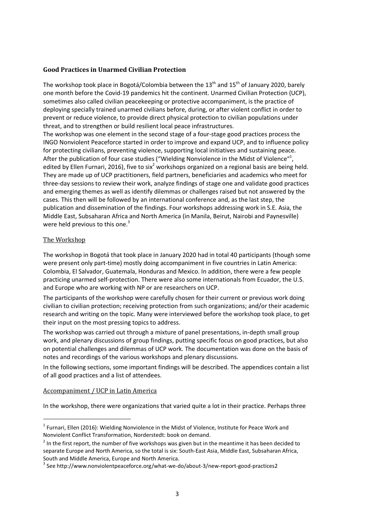## **Good Practices in Unarmed Civilian Protection**

The workshop took place in Bogotá/Colombia between the  $13<sup>th</sup>$  and  $15<sup>th</sup>$  of January 2020, barely one month before the Covid-19 pandemics hit the continent. Unarmed Civilian Protection (UCP), sometimes also called civilian peacekeeping or protective accompaniment, is the practice of deploying specially trained unarmed civilians before, during, or after violent conflict in order to prevent or reduce violence, to provide direct physical protection to civilian populations under threat, and to strengthen or build resilient local peace infrastructures.

The workshop was one element in the second stage of a four-stage good practices process the INGO Nonviolent Peaceforce started in order to improve and expand UCP, and to influence policy for protecting civilians, preventing violence, supporting local initiatives and sustaining peace. After the publication of four case studies ("Wielding Nonviolence in the Midst of Violence"<sup>1</sup>, edited by Ellen Furnari, 2016), five to six<sup>2</sup> workshops organized on a regional basis are being held. They are made up of UCP practitioners, field partners, beneficiaries and academics who meet for three-day sessions to review their work, analyze findings of stage one and validate good practices and emerging themes as well as identify dilemmas or challenges raised but not answered by the cases. This then will be followed by an international conference and, as the last step, the publication and dissemination of the findings. Four workshops addressing work in S.E. Asia, the Middle East, Subsaharan Africa and North America (in Manila, Beirut, Nairobi and Paynesville) were held previous to this one.<sup>3</sup>

## The Workshop

<u>.</u>

The workshop in Bogotá that took place in January 2020 had in total 40 participants (though some were present only part-time) mostly doing accompaniment in five countries in Latin America: Colombia, El Salvador, Guatemala, Honduras and Mexico. In addition, there were a few people practicing unarmed self-protection. There were also some internationals from Ecuador, the U.S. and Europe who are working with NP or are researchers on UCP.

The participants of the workshop were carefully chosen for their current or previous work doing civilian to civilian protection; receiving protection from such organizations; and/or their academic research and writing on the topic. Many were interviewed before the workshop took place, to get their input on the most pressing topics to address.

The workshop was carried out through a mixture of panel presentations, in-depth small group work, and plenary discussions of group findings, putting specific focus on good practices, but also on potential challenges and dilemmas of UCP work. The documentation was done on the basis of notes and recordings of the various workshops and plenary discussions.

In the following sections, some important findings will be described. The appendices contain a list of all good practices and a list of attendees.

## Accompaniment / UCP in Latin America

In the workshop, there were organizations that varied quite a lot in their practice. Perhaps three

<sup>&</sup>lt;sup>1</sup> Furnari, Ellen (2016): Wielding Nonviolence in the Midst of Violence, Institute for Peace Work and Nonviolent Conflict Transformation, Norderstedt: book on demand.

 $2$  In the first report, the number of five workshops was given but in the meantime it has been decided to separate Europe and North America, so the total is six: South-East Asia, Middle East, Subsaharan Africa, South and Middle America, Europe and North America.

<sup>&</sup>lt;sup>3</sup> See http://www.nonviolentpeaceforce.org/what-we-do/about-3/new-report-good-practices2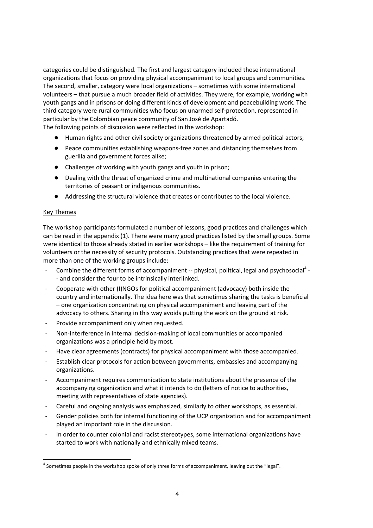categories could be distinguished. The first and largest category included those international organizations that focus on providing physical accompaniment to local groups and communities. The second, smaller, category were local organizations – sometimes with some international volunteers – that pursue a much broader field of activities. They were, for example, working with youth gangs and in prisons or doing different kinds of development and peacebuilding work. The third category were rural communities who focus on unarmed self-protection, represented in particular by the Colombian peace community of San José de Apartadó. The following points of discussion were reflected in the workshop:

- Human rights and other civil society organizations threatened by armed political actors;
- Peace communities establishing weapons-free zones and distancing themselves from guerilla and government forces alike;
- Challenges of working with youth gangs and youth in prison;
- Dealing with the threat of organized crime and multinational companies entering the territories of peasant or indigenous communities.
- Addressing the structural violence that creates or contributes to the local violence.

## Key Themes

<u>.</u>

The workshop participants formulated a number of lessons, good practices and challenges which can be read in the appendix (1). There were many good practices listed by the small groups. Some were identical to those already stated in earlier workshops – like the requirement of training for volunteers or the necessity of security protocols. Outstanding practices that were repeated in more than one of the working groups include:

- Combine the different forms of accompaniment -- physical, political, legal and psychosocial<sup>4</sup> -- and consider the four to be intrinsically interlinked.
- Cooperate with other (I)NGOs for political accompaniment (advocacy) both inside the country and internationally. The idea here was that sometimes sharing the tasks is beneficial – one organization concentrating on physical accompaniment and leaving part of the advocacy to others. Sharing in this way avoids putting the work on the ground at risk.
- Provide accompaniment only when requested.
- Non-interference in internal decision-making of local communities or accompanied organizations was a principle held by most.
- Have clear agreements (contracts) for physical accompaniment with those accompanied.
- Establish clear protocols for action between governments, embassies and accompanying organizations.
- Accompaniment requires communication to state institutions about the presence of the accompanying organization and what it intends to do (letters of notice to authorities, meeting with representatives of state agencies).
- Careful and ongoing analysis was emphasized, similarly to other workshops, as essential.
- Gender policies both for internal functioning of the UCP organization and for accompaniment played an important role in the discussion.
- In order to counter colonial and racist stereotypes, some international organizations have started to work with nationally and ethnically mixed teams.

<sup>&</sup>lt;sup>4</sup> Sometimes people in the workshop spoke of only three forms of accompaniment, leaving out the "legal".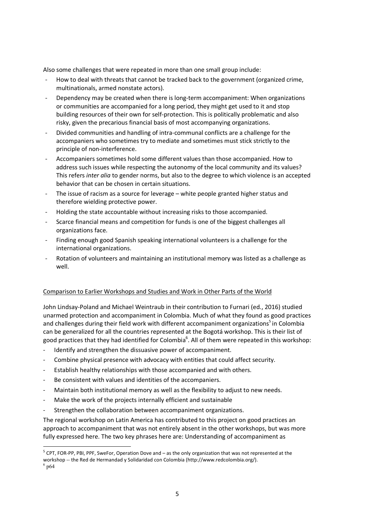Also some challenges that were repeated in more than one small group include:

- How to deal with threats that cannot be tracked back to the government (organized crime, multinationals, armed nonstate actors).
- Dependency may be created when there is long-term accompaniment: When organizations or communities are accompanied for a long period, they might get used to it and stop building resources of their own for self-protection. This is politically problematic and also risky, given the precarious financial basis of most accompanying organizations.
- Divided communities and handling of intra-communal conflicts are a challenge for the accompaniers who sometimes try to mediate and sometimes must stick strictly to the principle of non-interference.
- Accompaniers sometimes hold some different values than those accompanied. How to address such issues while respecting the autonomy of the local community and its values? This refers *inter alia* to gender norms, but also to the degree to which violence is an accepted behavior that can be chosen in certain situations.
- The issue of racism as a source for leverage white people granted higher status and therefore wielding protective power.
- Holding the state accountable without increasing risks to those accompanied.
- Scarce financial means and competition for funds is one of the biggest challenges all organizations face.
- Finding enough good Spanish speaking international volunteers is a challenge for the international organizations.
- Rotation of volunteers and maintaining an institutional memory was listed as a challenge as well.

## Comparison to Earlier Workshops and Studies and Work in Other Parts of the World

John Lindsay-Poland and Michael Weintraub in their contribution to Furnari (ed., 2016) studied unarmed protection and accompaniment in Colombia. Much of what they found as good practices and challenges during their field work with different accompaniment organizations<sup>5</sup> in Colombia can be generalized for all the countries represented at the Bogotá workshop. This is their list of good practices that they had identified for Colombia<sup>6</sup>. All of them were repeated in this workshop:

- Identify and strengthen the dissuasive power of accompaniment.
- Combine physical presence with advocacy with entities that could affect security.
- Establish healthy relationships with those accompanied and with others.
- Be consistent with values and identities of the accompaniers.
- Maintain both institutional memory as well as the flexibility to adjust to new needs.
- Make the work of the projects internally efficient and sustainable
- Strengthen the collaboration between accompaniment organizations.

The regional workshop on Latin America has contributed to this project on good practices an approach to accompaniment that was not entirely absent in the other workshops, but was more fully expressed here. The two key phrases here are: Understanding of accompaniment as

<u>.</u>

 $<sup>5</sup>$  CPT, FOR-PP, PBI, PPF, SweFor, Operation Dove and – as the only organization that was not represented at the</sup> workshop -- the Red de Hermandad y Solidaridad con Colombia (http://www.redcolombia.org/).

 $^6$  p64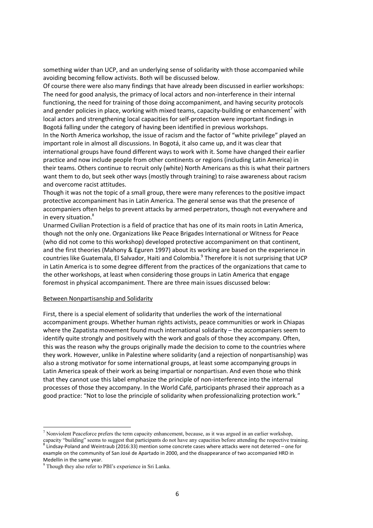something wider than UCP, and an underlying sense of solidarity with those accompanied while avoiding becoming fellow activists. Both will be discussed below.

Of course there were also many findings that have already been discussed in earlier workshops: The need for good analysis, the primacy of local actors and non-interference in their internal functioning, the need for training of those doing accompaniment, and having security protocols and gender policies in place, working with mixed teams, capacity-building or enhancement<sup>7</sup> with local actors and strengthening local capacities for self-protection were important findings in Bogotá falling under the category of having been identified in previous workshops.

In the North America workshop, the issue of racism and the factor of "white privilege" played an important role in almost all discussions. In Bogotá, it also came up, and it was clear that international groups have found different ways to work with it. Some have changed their earlier practice and now include people from other continents or regions (including Latin America) in their teams. Others continue to recruit only (white) North Americans as this is what their partners want them to do, but seek other ways (mostly through training) to raise awareness about racism and overcome racist attitudes.

Though it was not the topic of a small group, there were many references to the positive impact protective accompaniment has in Latin America. The general sense was that the presence of accompaniers often helps to prevent attacks by armed perpetrators, though not everywhere and in every situation.<sup>8</sup>

Unarmed Civilian Protection is a field of practice that has one of its main roots in Latin America, though not the only one. Organizations like Peace Brigades International or Witness for Peace (who did not come to this workshop) developed protective accompaniment on that continent, and the first theories (Mahony & Eguren 1997) about its working are based on the experience in countries like Guatemala, El Salvador, Haiti and Colombia.<sup>9</sup> Therefore it is not surprising that UCP in Latin America is to some degree different from the practices of the organizations that came to the other workshops, at least when considering those groups in Latin America that engage foremost in physical accompaniment. There are three main issues discussed below:

#### Between Nonpartisanship and Solidarity

First, there is a special element of solidarity that underlies the work of the international accompaniment groups. Whether human rights activists, peace communities or work in Chiapas where the Zapatista movement found much international solidarity – the accompaniers seem to identify quite strongly and positively with the work and goals of those they accompany. Often, this was the reason why the groups originally made the decision to come to the countries where they work. However, unlike in Palestine where solidarity (and a rejection of nonpartisanship) was also a strong motivator for some international groups, at least some accompanying groups in Latin America speak of their work as being impartial or nonpartisan. And even those who think that they cannot use this label emphasize the principle of non-interference into the internal processes of those they accompany. In the World Café, participants phrased their approach as a good practice: "Not to lose the principle of solidarity when professionalizing protection work."

<u>.</u>

 $<sup>7</sup>$  Nonviolent Peaceforce prefers the term capacity enhancement, because, as it was argued in an earlier workshop,</sup> capacity "building" seems to suggest that participants do not have any capacities before attending the respective training.

<sup>8</sup> Lindsay-Poland and Weintraub (2016:33) mention some concrete cases where attacks were not deterred – one for example on the community of San José de Apartado in 2000, and the disappearance of two accompanied HRD in Medellin in the same year.

<sup>&</sup>lt;sup>9</sup> Though they also refer to PBI's experience in Sri Lanka.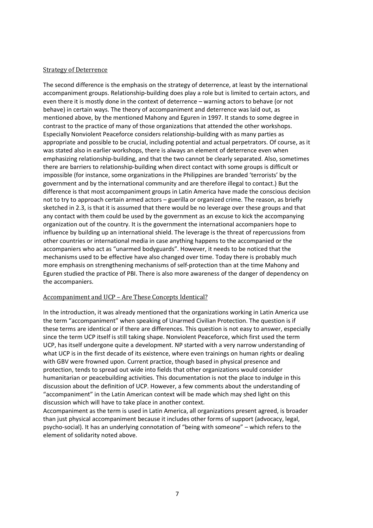## Strategy of Deterrence

The second difference is the emphasis on the strategy of deterrence, at least by the international accompaniment groups. Relationship-building does play a role but is limited to certain actors, and even there it is mostly done in the context of deterrence – warning actors to behave (or not behave) in certain ways. The theory of accompaniment and deterrence was laid out, as mentioned above, by the mentioned Mahony and Eguren in 1997. It stands to some degree in contrast to the practice of many of those organizations that attended the other workshops. Especially Nonviolent Peaceforce considers relationship-building with as many parties as appropriate and possible to be crucial, including potential and actual perpetrators. Of course, as it was stated also in earlier workshops, there is always an element of deterrence even when emphasizing relationship-building, and that the two cannot be clearly separated. Also, sometimes there are barriers to relationship-building when direct contact with some groups is difficult or impossible (for instance, some organizations in the Philippines are branded 'terrorists' by the government and by the international community and are therefore illegal to contact.) But the difference is that most accompaniment groups in Latin America have made the conscious decision not to try to approach certain armed actors – guerilla or organized crime. The reason, as briefly sketched in 2.3, is that it is assumed that there would be no leverage over these groups and that any contact with them could be used by the government as an excuse to kick the accompanying organization out of the country. It is the government the international accompaniers hope to influence by building up an international shield. The leverage is the threat of repercussions from other countries or international media in case anything happens to the accompanied or the accompaniers who act as "unarmed bodyguards". However, it needs to be noticed that the mechanisms used to be effective have also changed over time. Today there is probably much more emphasis on strengthening mechanisms of self-protection than at the time Mahony and Eguren studied the practice of PBI. There is also more awareness of the danger of dependency on the accompaniers.

## Accompaniment and UCP – Are These Concepts Identical?

In the introduction, it was already mentioned that the organizations working in Latin America use the term "accompaniment" when speaking of Unarmed Civilian Protection. The question is if these terms are identical or if there are differences. This question is not easy to answer, especially since the term UCP itself is still taking shape. Nonviolent Peaceforce, which first used the term UCP, has itself undergone quite a development. NP started with a very narrow understanding of what UCP is in the first decade of its existence, where even trainings on human rights or dealing with GBV were frowned upon. Current practice, though based in physical presence and protection, tends to spread out wide into fields that other organizations would consider humanitarian or peacebuilding activities. This documentation is not the place to indulge in this discussion about the definition of UCP. However, a few comments about the understanding of "accompaniment" in the Latin American context will be made which may shed light on this discussion which will have to take place in another context.

Accompaniment as the term is used in Latin America, all organizations present agreed, is broader than just physical accompaniment because it includes other forms of support (advocacy, legal, psycho-social). It has an underlying connotation of "being with someone" – which refers to the element of solidarity noted above.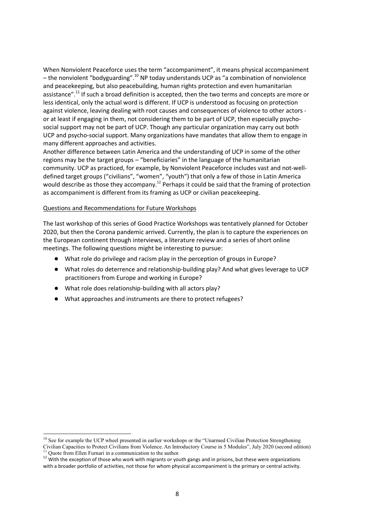When Nonviolent Peaceforce uses the term "accompaniment", it means physical accompaniment  $-$  the nonviolent "bodyguarding".<sup>10</sup> NP today understands UCP as "a combination of nonviolence and peacekeeping, but also peacebuilding, human rights protection and even humanitarian assistance".<sup>11</sup> If such a broad definition is accepted, then the two terms and concepts are more or less identical, only the actual word is different. If UCP is understood as focusing on protection against violence, leaving dealing with root causes and consequences of violence to other actors or at least if engaging in them, not considering them to be part of UCP, then especially psychosocial support may not be part of UCP. Though any particular organization may carry out both UCP and psycho-social support. Many organizations have mandates that allow them to engage in many different approaches and activities.

Another difference between Latin America and the understanding of UCP in some of the other regions may be the target groups – "beneficiaries" in the language of the humanitarian community. UCP as practiced, for example, by Nonviolent Peaceforce includes vast and not-welldefined target groups ("civilians", "women", "youth") that only a few of those in Latin America would describe as those they accompany.<sup>12</sup> Perhaps it could be said that the framing of protection as accompaniment is different from its framing as UCP or civilian peacekeeping.

#### Questions and Recommendations for Future Workshops

<u>.</u>

The last workshop of this series of Good Practice Workshops was tentatively planned for October 2020, but then the Corona pandemic arrived. Currently, the plan is to capture the experiences on the European continent through interviews, a literature review and a series of short online meetings. The following questions might be interesting to pursue:

- What role do privilege and racism play in the perception of groups in Europe?
- What roles do deterrence and relationship-building play? And what gives leverage to UCP practitioners from Europe and working in Europe?
- What role does relationship-building with all actors play?
- What approaches and instruments are there to protect refugees?

<sup>&</sup>lt;sup>10</sup> See for example the UCP wheel presented in earlier workshops or the "Unarmed Civilian Protection Strengthening Civilian Capacities to Protect Civilians from Violence. An Introductory Course in 5 Modules", July 2020 (second edition) Quote from Ellen Furnari in a communication to the author.

<sup>&</sup>lt;sup>12</sup> With the exception of those who work with migrants or youth gangs and in prisons, but these were organizations with a broader portfolio of activities, not those for whom physical accompaniment is the primary or central activity.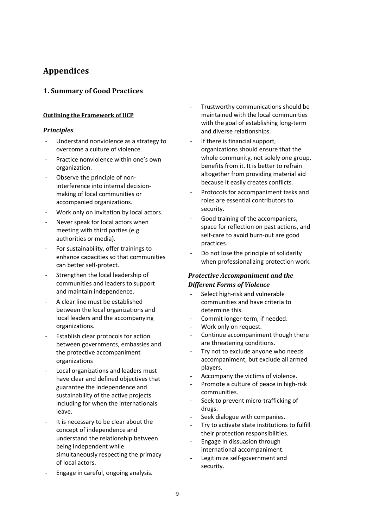# **Appendices**

## **1. Summary of Good Practices**

## **Outlining the Framework of UCP**

## *Principles*

- Understand nonviolence as a strategy to overcome a culture of violence.
- Practice nonviolence within one's own organization.
- Observe the principle of noninterference into internal decisionmaking of local communities or accompanied organizations.
- Work only on invitation by local actors.
- Never speak for local actors when meeting with third parties (e.g. authorities or media).
- For sustainability, offer trainings to enhance capacities so that communities can better self-protect.
- Strengthen the local leadership of communities and leaders to support and maintain independence.
- A clear line must be established between the local organizations and local leaders and the accompanying organizations.
- Establish clear protocols for action between governments, embassies and the protective accompaniment organizations
- Local organizations and leaders must have clear and defined objectives that guarantee the independence and sustainability of the active projects including for when the internationals leave.
- It is necessary to be clear about the concept of independence and understand the relationship between being independent while simultaneously respecting the primacy of local actors.
- Engage in careful, ongoing analysis.
- Trustworthy communications should be maintained with the local communities with the goal of establishing long-term and diverse relationships.
- If there is financial support, organizations should ensure that the whole community, not solely one group, benefits from it. It is better to refrain altogether from providing material aid because it easily creates conflicts.
- Protocols for accompaniment tasks and roles are essential contributors to security.
- Good training of the accompaniers, space for reflection on past actions, and self-care to avoid burn-out are good practices.
- Do not lose the principle of solidarity when professionalizing protection work.

## *Protective Accompaniment and the Different Forms of Violence*

- Select high-risk and vulnerable communities and have criteria to determine this.
- Commit longer-term, if needed.
- Work only on request.
- Continue accompaniment though there are threatening conditions.
- Try not to exclude anyone who needs accompaniment, but exclude all armed players.
- Accompany the victims of violence.
- Promote a culture of peace in high-risk communities.
- Seek to prevent micro-trafficking of drugs.
- Seek dialogue with companies.
- Try to activate state institutions to fulfill their protection responsibilities.
- Engage in dissuasion through international accompaniment.
- Legitimize self-government and security.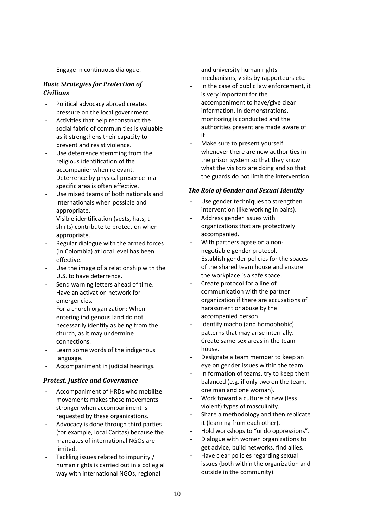- Engage in continuous dialogue.

## *Basic Strategies for Protection of Civilians*

- Political advocacy abroad creates pressure on the local government.
- Activities that help reconstruct the social fabric of communities is valuable as it strengthens their capacity to prevent and resist violence.
- Use deterrence stemming from the religious identification of the accompanier when relevant.
- Deterrence by physical presence in a specific area is often effective.
- Use mixed teams of both nationals and internationals when possible and appropriate.
- Visible identification (vests, hats, tshirts) contribute to protection when appropriate.
- Regular dialogue with the armed forces (in Colombia) at local level has been effective.
- Use the image of a relationship with the U.S. to have deterrence.
- Send warning letters ahead of time.
- Have an activation network for emergencies.
- For a church organization: When entering indigenous land do not necessarily identify as being from the church, as it may undermine connections.
- Learn some words of the indigenous language.
- Accompaniment in judicial hearings.

## *Protest, Justice and Governance*

- Accompaniment of HRDs who mobilize movements makes these movements stronger when accompaniment is requested by these organizations.
- Advocacy is done through third parties (for example, local Caritas) because the mandates of international NGOs are limited.
- Tackling issues related to impunity / human rights is carried out in a collegial way with international NGOs, regional

and university human rights mechanisms, visits by rapporteurs etc.

- In the case of public law enforcement, it is very important for the accompaniment to have/give clear information. In demonstrations, monitoring is conducted and the authorities present are made aware of it.
- Make sure to present yourself whenever there are new authorities in the prison system so that they know what the visitors are doing and so that the guards do not limit the intervention.

## *The Role of Gender and Sexual Identity*

- Use gender techniques to strengthen intervention (like working in pairs).
- Address gender issues with organizations that are protectively accompanied.
- With partners agree on a nonnegotiable gender protocol.
- Establish gender policies for the spaces of the shared team house and ensure the workplace is a safe space.
- Create protocol for a line of communication with the partner organization if there are accusations of harassment or abuse by the accompanied person.
- Identify macho (and homophobic) patterns that may arise internally. Create same-sex areas in the team house.
- Designate a team member to keep an eye on gender issues within the team.
- In formation of teams, try to keep them balanced (e.g. if only two on the team, one man and one woman).
- Work toward a culture of new (less violent) types of masculinity.
- Share a methodology and then replicate it (learning from each other).
- Hold workshops to "undo oppressions".
- Dialogue with women organizations to get advice, build networks, find allies.
- Have clear policies regarding sexual issues (both within the organization and outside in the community).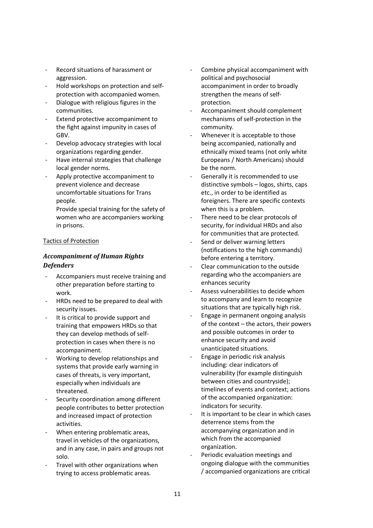- Record situations of harassment or aggression.
- Hold workshops on protection and selfprotection with accompanied women.
- Dialogue with religious figures in the communities.
- Extend protective accompaniment to the fight against impunity in cases of GBV.
- Develop advocacy strategies with local organizations regarding gender.
- Have internal strategies that challenge local gender norms.
- Apply protective accompaniment to prevent violence and decrease uncomfortable situations for Trans people.

Provide special training for the safety of women who are accompaniers working in prisons.

## Tactics of Protection

## *Accompaniment of Human Rights Defenders*

- Accompaniers must receive training and other preparation before starting to work.
- HRDs need to be prepared to deal with security issues.
- It is critical to provide support and training that empowers HRDs so that they can develop methods of selfprotection in cases when there is no accompaniment.
- Working to develop relationships and systems that provide early warning in cases of threats, is very important, especially when individuals are threatened.
- Security coordination among different people contributes to better protection and increased impact of protection activities.
- When entering problematic areas, travel in vehicles of the organizations, and in any case, in pairs and groups not solo.
- Travel with other organizations when trying to access problematic areas.
- Combine physical accompaniment with political and psychosocial accompaniment in order to broadly strengthen the means of selfprotection.
- Accompaniment should complement mechanisms of self-protection in the community.
- Whenever it is acceptable to those being accompanied, nationally and ethnically mixed teams (not only white Europeans / North Americans) should be the norm.
- Generally it is recommended to use distinctive symbols – logos, shirts, caps etc., in order to be identified as foreigners. There are specific contexts when this is a problem.
- There need to be clear protocols of security, for individual HRDs and also for communities that are protected.
- Send or deliver warning letters (notifications to the high commands) before entering a territory.
- Clear communication to the outside regarding who the accompaniers are enhances security
- Assess vulnerabilities to decide whom to accompany and learn to recognize situations that are typically high risk.
- Engage in permanent ongoing analysis of the context – the actors, their powers and possible outcomes in order to enhance security and avoid unanticipated situations.
- Engage in periodic risk analysis including: clear indicators of vulnerability (for example distinguish between cities and countryside); timelines of events and context; actions of the accompanied organization: indicators for security.
- It is important to be clear in which cases deterrence stems from the accompanying organization and in which from the accompanied organization.
- Periodic evaluation meetings and ongoing dialogue with the communities / accompanied organizations are critical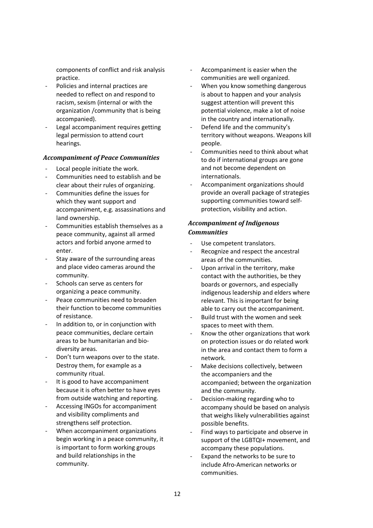components of conflict and risk analysis practice.

- Policies and internal practices are needed to reflect on and respond to racism, sexism (internal or with the organization /community that is being accompanied).
- Legal accompaniment requires getting legal permission to attend court hearings.

#### *Accompaniment of Peace Communities*

- Local people initiate the work.
- Communities need to establish and be clear about their rules of organizing.
- Communities define the issues for which they want support and accompaniment, e.g. assassinations and land ownership.
- Communities establish themselves as a peace community, against all armed actors and forbid anyone armed to enter.
- Stay aware of the surrounding areas and place video cameras around the community.
- Schools can serve as centers for organizing a peace community.
- Peace communities need to broaden their function to become communities of resistance.
- In addition to, or in conjunction with peace communities, declare certain areas to be humanitarian and biodiversity areas.
- Don't turn weapons over to the state. Destroy them, for example as a community ritual.
- It is good to have accompaniment because it is often better to have eyes from outside watching and reporting.
- Accessing INGOs for accompaniment and visibility compliments and strengthens self protection.
- When accompaniment organizations begin working in a peace community, it is important to form working groups and build relationships in the community.
- Accompaniment is easier when the communities are well organized.
- When you know something dangerous is about to happen and your analysis suggest attention will prevent this potential violence, make a lot of noise in the country and internationally.
- Defend life and the community's territory without weapons. Weapons kill people.
- Communities need to think about what to do if international groups are gone and not become dependent on internationals.
- Accompaniment organizations should provide an overall package of strategies supporting communities toward selfprotection, visibility and action.

## *Accompaniment of Indigenous Communities*

- Use competent translators.
- Recognize and respect the ancestral areas of the communities.
- Upon arrival in the territory, make contact with the authorities, be they boards or governors, and especially indigenous leadership and elders where relevant. This is important for being able to carry out the accompaniment.
- Build trust with the women and seek spaces to meet with them.
- Know the other organizations that work on protection issues or do related work in the area and contact them to form a network.
- Make decisions collectively, between the accompaniers and the accompanied; between the organization and the community.
- Decision-making regarding who to accompany should be based on analysis that weighs likely vulnerabilities against possible benefits.
- Find ways to participate and observe in support of the LGBTQI+ movement, and accompany these populations.
- Expand the networks to be sure to include Afro-American networks or communities.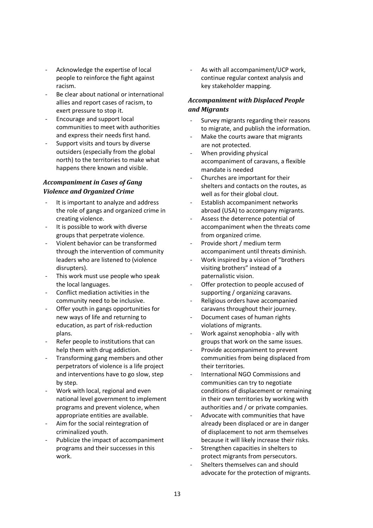- Acknowledge the expertise of local people to reinforce the fight against racism.
- Be clear about national or international allies and report cases of racism, to exert pressure to stop it.
- Encourage and support local communities to meet with authorities and express their needs first hand.
- Support visits and tours by diverse outsiders (especially from the global north) to the territories to make what happens there known and visible.

## *Accompaniment in Cases of Gang Violence and Organized Crime*

- It is important to analyze and address the role of gangs and organized crime in creating violence.
- It is possible to work with diverse groups that perpetrate violence.
- Violent behavior can be transformed through the intervention of community leaders who are listened to (violence disrupters).
- This work must use people who speak the local languages.
- Conflict mediation activities in the community need to be inclusive.
- Offer youth in gangs opportunities for new ways of life and returning to education, as part of risk-reduction plans.
- Refer people to institutions that can help them with drug addiction.
- Transforming gang members and other perpetrators of violence is a life project and interventions have to go slow, step by step.
- Work with local, regional and even national level government to implement programs and prevent violence, when appropriate entities are available.
- Aim for the social reintegration of criminalized youth.
- Publicize the impact of accompaniment programs and their successes in this work.

As with all accompaniment/UCP work, continue regular context analysis and key stakeholder mapping.

## *Accompaniment with Displaced People and Migrants*

- Survey migrants regarding their reasons to migrate, and publish the information.
- Make the courts aware that migrants are not protected.
- When providing physical accompaniment of caravans, a flexible mandate is needed
- Churches are important for their shelters and contacts on the routes, as well as for their global clout.
- Establish accompaniment networks abroad (USA) to accompany migrants.
- Assess the deterrence potential of accompaniment when the threats come from organized crime.
- Provide short / medium term accompaniment until threats diminish.
- Work inspired by a vision of "brothers" visiting brothers" instead of a paternalistic vision.
- Offer protection to people accused of supporting / organizing caravans.
- Religious orders have accompanied caravans throughout their journey.
- Document cases of human rights violations of migrants.
- Work against xenophobia ally with groups that work on the same issues.
- Provide accompaniment to prevent communities from being displaced from their territories.
- International NGO Commissions and communities can try to negotiate conditions of displacement or remaining in their own territories by working with authorities and / or private companies.
- Advocate with communities that have already been displaced or are in danger of displacement to not arm themselves because it will likely increase their risks.
- Strengthen capacities in shelters to protect migrants from persecutors.
- Shelters themselves can and should advocate for the protection of migrants.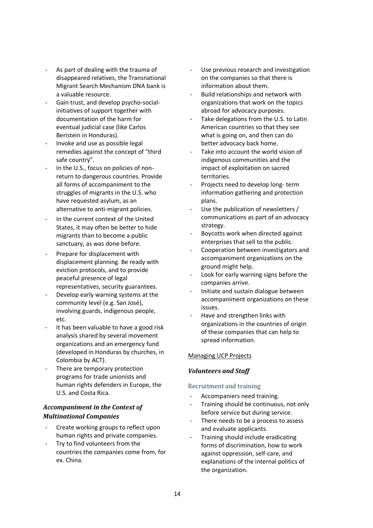- As part of dealing with the trauma of disappeared relatives, the Transnational Migrant Search Mechanism DNA bank is a valuable resource.
- Gain trust, and develop psycho-socialinitiatives of support together with documentation of the harm for eventual judicial case (like Carlos Beristein in Honduras).
- Invoke and use as possible legal remedies against the concept of "third safe country".
- In the U.S., focus on policies of nonreturn to dangerous countries. Provide all forms of accompaniment to the struggles of migrants in the U.S. who have requested asylum, as an alternative to anti-migrant policies.
- In the current context of the United States, it may often be better to hide migrants than to become a public sanctuary, as was done before.
- Prepare for displacement with displacement planning. Be ready with eviction protocols, and to provide peaceful presence of legal representatives, security guarantees.
- Develop early warning systems at the community level (e.g. San José), involving guards, indigenous people, etc.
- It has been valuable to have a good risk analysis shared by several movement organizations and an emergency fund (developed in Honduras by churches, in Colombia by ACT).
- There are temporary protection programs for trade unionists and human rights defenders in Europe, the U.S. and Costa Rica.

## *Accompaniment in the Context of Multinational Companies*

- Create working groups to reflect upon human rights and private companies.
- Try to find volunteers from the countries the companies come from, for ex. China.
- Use previous research and investigation on the companies so that there is information about them.
- Build relationships and network with organizations that work on the topics abroad for advocacy purposes.
- Take delegations from the U.S. to Latin American countries so that they see what is going on, and then can do better advocacy back home.
- Take into account the world vision of indigenous communities and the impact of exploitation on sacred territories.
- Projects need to develop long-term information gathering and protection plans.
- Use the publication of newsletters / communications as part of an advocacy strategy.
- Boycotts work when directed against enterprises that sell to the public.
- Cooperation between investigators and accompaniment organizations on the ground might help.
- Look for early warning signs before the companies arrive.
- Initiate and sustain dialogue between accompaniment organizations on these issues.
- Have and strengthen links with organizations in the countries of origin of these companies that can help to spread information.

## Managing UCP Projects

## *Volunteers and Staff*

## Recruitment and training

- Accompaniers need training.
- Training should be continuous, not only before service but during service.
- There needs to be a process to assess and evaluate applicants.
- Training should include eradicating forms of discrimination, how to work against oppression, self-care, and explanations of the internal politics of the organization.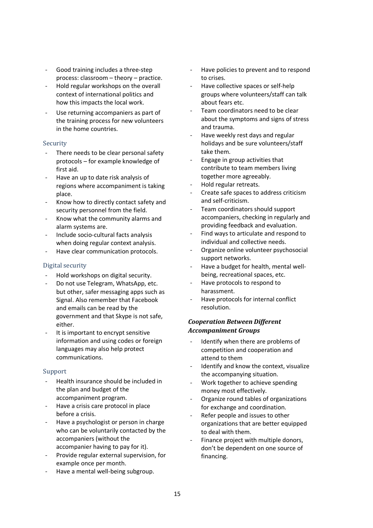- Good training includes a three-step process: classroom – theory – practice.
- Hold regular workshops on the overall context of international politics and how this impacts the local work.
- Use returning accompaniers as part of the training process for new volunteers in the home countries.

#### Security

- There needs to be clear personal safety protocols – for example knowledge of first aid.
- Have an up to date risk analysis of regions where accompaniment is taking place.
- Know how to directly contact safety and security personnel from the field.
- Know what the community alarms and alarm systems are.
- Include socio-cultural facts analysis when doing regular context analysis.
- Have clear communication protocols.

## Digital security

- Hold workshops on digital security.
- Do not use Telegram, WhatsApp, etc. but other, safer messaging apps such as Signal. Also remember that Facebook and emails can be read by the government and that Skype is not safe, either.
- It is important to encrypt sensitive information and using codes or foreign languages may also help protect communications.

## Support

- Health insurance should be included in the plan and budget of the accompaniment program.
- Have a crisis care protocol in place before a crisis.
- Have a psychologist or person in charge who can be voluntarily contacted by the accompaniers (without the accompanier having to pay for it).
- Provide regular external supervision, for example once per month.
- Have a mental well-being subgroup.
- Have policies to prevent and to respond to crises.
- Have collective spaces or self-help groups where volunteers/staff can talk about fears etc.
- Team coordinators need to be clear about the symptoms and signs of stress and trauma.
- Have weekly rest days and regular holidays and be sure volunteers/staff take them.
- Engage in group activities that contribute to team members living together more agreeably.
- Hold regular retreats.
- Create safe spaces to address criticism and self-criticism.
- Team coordinators should support accompaniers, checking in regularly and providing feedback and evaluation.
- Find ways to articulate and respond to individual and collective needs.
- Organize online volunteer psychosocial support networks.
- Have a budget for health, mental wellbeing, recreational spaces, etc.
- Have protocols to respond to harassment.
- Have protocols for internal conflict resolution.

## *Cooperation Between Different Accompaniment Groups*

- Identify when there are problems of competition and cooperation and attend to them
- Identify and know the context, visualize the accompanying situation.
- Work together to achieve spending money most effectively.
- Organize round tables of organizations for exchange and coordination.
- Refer people and issues to other organizations that are better equipped to deal with them.
- Finance project with multiple donors, don't be dependent on one source of financing.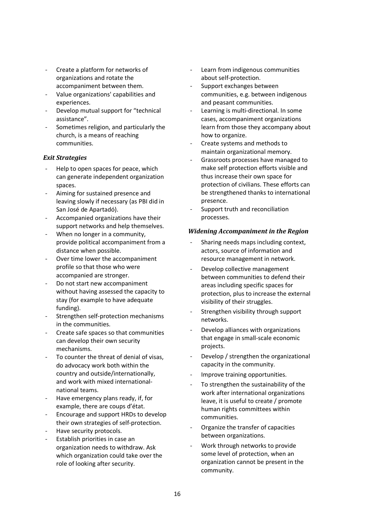- Create a platform for networks of organizations and rotate the accompaniment between them.
- Value organizations' capabilities and experiences.
- Develop mutual support for "technical assistance".
- Sometimes religion, and particularly the church, is a means of reaching communities.

## *Exit Strategies*

- Help to open spaces for peace, which can generate independent organization spaces.
- Aiming for sustained presence and leaving slowly if necessary (as PBI did in San José de Apartadó).
- Accompanied organizations have their support networks and help themselves.
- When no longer in a community, provide political accompaniment from a distance when possible.
- Over time lower the accompaniment profile so that those who were accompanied are stronger.
- Do not start new accompaniment without having assessed the capacity to stay (for example to have adequate funding).
- Strengthen self-protection mechanisms in the communities.
- Create safe spaces so that communities can develop their own security mechanisms.
- To counter the threat of denial of visas. do advocacy work both within the country and outside/internationally, and work with mixed internationalnational teams.
- Have emergency plans ready, if, for example, there are coups d'état.
- Encourage and support HRDs to develop their own strategies of self-protection.
- Have security protocols.
- Establish priorities in case an organization needs to withdraw. Ask which organization could take over the role of looking after security.
- Learn from indigenous communities about self-protection.
- Support exchanges between communities, e.g. between indigenous and peasant communities.
- Learning is multi-directional. In some cases, accompaniment organizations learn from those they accompany about how to organize.
- Create systems and methods to maintain organizational memory.
- Grassroots processes have managed to make self protection efforts visible and thus increase their own space for protection of civilians. These efforts can be strengthened thanks to international presence.
- Support truth and reconciliation processes.

## *Widening Accompaniment in the Region*

- Sharing needs maps including context, actors, source of information and resource management in network.
- Develop collective management between communities to defend their areas including specific spaces for protection, plus to increase the external visibility of their struggles.
- Strengthen visibility through support networks.
- Develop alliances with organizations that engage in small-scale economic projects.
- Develop / strengthen the organizational capacity in the community.
- Improve training opportunities.
- To strengthen the sustainability of the work after international organizations leave, it is useful to create / promote human rights committees within communities.
- Organize the transfer of capacities between organizations.
- Work through networks to provide some level of protection, when an organization cannot be present in the community.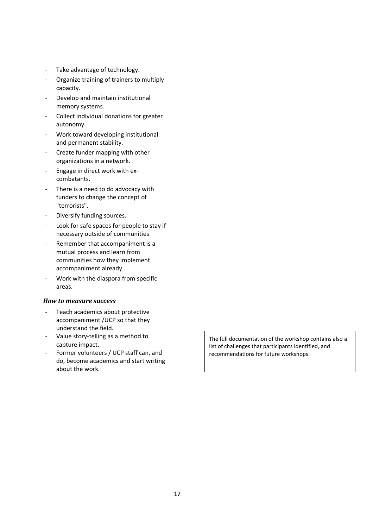- Take advantage of technology.
- Organize training of trainers to multiply capacity.
- Develop and maintain institutional memory systems.
- Collect individual donations for greater autonomy.
- Work toward developing institutional and permanent stability.
- Create funder mapping with other organizations in a network.
- Engage in direct work with excombatants.
- There is a need to do advocacy with funders to change the concept of "terrorists".
- Diversify funding sources.
- Look for safe spaces for people to stay if necessary outside of communities
- Remember that accompaniment is a mutual process and learn from communities how they implement accompaniment already.
- Work with the diaspora from specific areas.

#### *How to measure success*

- Teach academics about protective accompaniment /UCP so that they understand the field.
- Value story-telling as a method to capture impact.
- Former volunteers / UCP staff can, and do, become academics and start writing about the work.

The full documentation of the workshop contains also a list of challenges that participants identified, and recommendations for future workshops.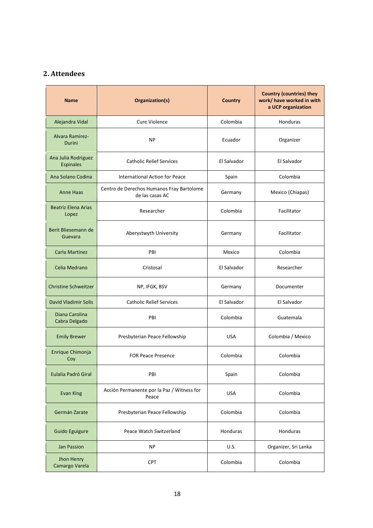## **2. Attendees**

| <b>Name</b>                             | Organization(s)                                              | <b>Country</b> | <b>Country (countries) they</b><br>work/ have worked in with<br>a UCP organization |
|-----------------------------------------|--------------------------------------------------------------|----------------|------------------------------------------------------------------------------------|
| Alejandra Vidal                         | Cure Violence                                                | Colombia       | Honduras                                                                           |
| <b>Alvara Ramirez-</b><br>Durini        | <b>NP</b>                                                    | Ecuador        | Organizer                                                                          |
| Ana Julia Rodriguez<br><b>Espinales</b> | <b>Catholic Relief Services</b>                              | El Salvador    | El Salvador                                                                        |
| Ana Solano Codina                       | International Action for Peace                               | Spain          | Colombia                                                                           |
| <b>Anne Haas</b>                        | Centro de Derechos Humanos Fray Bartolome<br>de las casas AC | Germany        | Mexico (Chiapas)                                                                   |
| <b>Beatriz Elena Arias</b><br>Lopez     | Researcher                                                   | Colombia       | Facilitator                                                                        |
| Berit Bliesemann de<br>Guevara          | Aberystwyth University                                       | Germany        | Facilitator                                                                        |
| <b>Carla Martinez</b>                   | PBI                                                          | Mexico         | Colombia                                                                           |
| Celia Medrano                           | Cristosal                                                    | El Salvador    | Researcher                                                                         |
| <b>Christine Schweitzer</b>             | NP, IFGK, BSV                                                | Germany        | Documenter                                                                         |
| David Vladimir Solis                    | <b>Catholic Relief Services</b>                              | El Salvador    | El Salvador                                                                        |
| Diana Carolina<br>Cabra Delgado         | PBI                                                          | Colombia       | Guatemala                                                                          |
| <b>Emily Brewer</b>                     | Presbyterian Peace Fellowship                                | <b>USA</b>     | Colombia / Mexico                                                                  |
| Enrique Chimonja<br>Coy                 | <b>FOR Peace Presence</b>                                    | Colombia       | Colombia                                                                           |
| Eulalia Padró Giral                     | PBI                                                          | Spain          | Colombia                                                                           |
| <b>Evan King</b>                        | Acción Permanente por la Paz / Witness for<br>Peace          | <b>USA</b>     | Colombia                                                                           |
| Germán Zarate                           | Presbyterian Peace Fellowship                                | Colombia       | Colombia                                                                           |
| Guido Eguigure                          | Peace Watch Switzerland                                      | Honduras       | Honduras                                                                           |
| <b>Jan Passion</b>                      | <b>NP</b>                                                    | U.S.           | Organizer, Sri Lanka                                                               |
| Jhon Henry<br>Camargo Varela            | CPT                                                          | Colombia       | Colombia                                                                           |